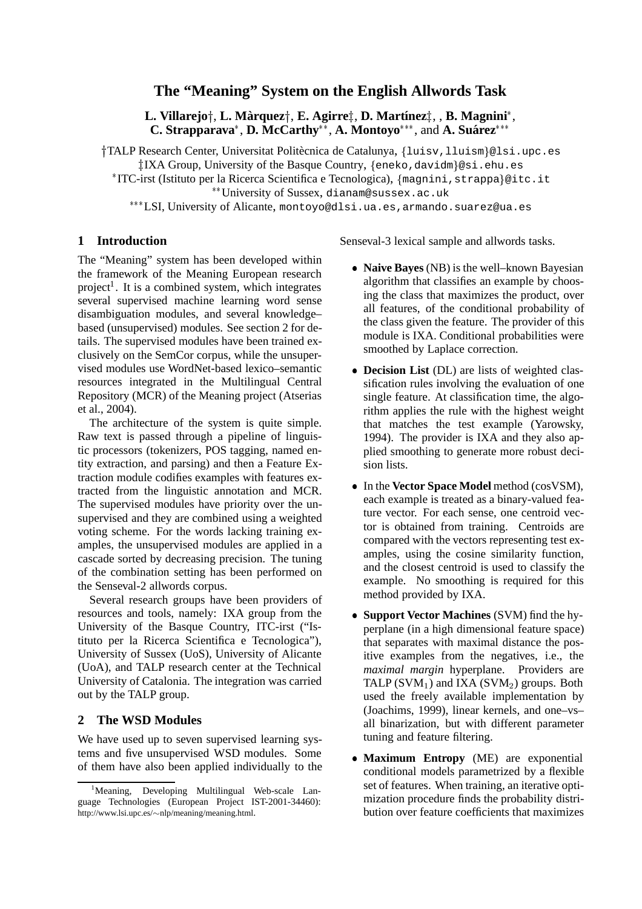# **The "Meaning" System on the English Allwords Task**

L. Villarejo†, L. Màrquez†, E. Agirre‡, D. Martínez‡, , B. Magnini\*, **C. Strapparava\*, D. McCarthy\*\*, A. Montoyo\*\*\*, and A. Suárez\*\*\*** 

†TALP Research Center, Universitat Politècnica de Catalunya, {luisv,lluism}@lsi.upc.es -IXA Group, University of the Basque Country, eneko,davidm-@si.ehu.es

\*ITC-irst (Istituto per la Ricerca Scientifica e Tecnologica), {magnini, strappa}@itc.it University of Sussex, dianam@sussex.ac.uk

\*\*\*LSI, University of Alicante, montoyo@dlsi.ua.es, armando.suarez@ua.es

## **1 Introduction**

The "Meaning" system has been developed within the framework of the Meaning European research project<sup>1</sup>. It is a combined system, which integrates several supervised machine learning word sense disambiguation modules, and several knowledge– based (unsupervised) modules. See section 2 for details. The supervised modules have been trained exclusively on the SemCor corpus, while the unsupervised modules use WordNet-based lexico–semantic resources integrated in the Multilingual Central Repository (MCR) of the Meaning project (Atserias et al., 2004).

The architecture of the system is quite simple. Raw text is passed through a pipeline of linguistic processors (tokenizers, POS tagging, named entity extraction, and parsing) and then a Feature Extraction module codifies examples with features extracted from the linguistic annotation and MCR. The supervised modules have priority over the unsupervised and they are combined using a weighted voting scheme. For the words lacking training examples, the unsupervised modules are applied in a cascade sorted by decreasing precision. The tuning of the combination setting has been performed on the Senseval-2 allwords corpus.

Several research groups have been providers of resources and tools, namely: IXA group from the University of the Basque Country, ITC-irst ("Istituto per la Ricerca Scientifica e Tecnologica"), University of Sussex (UoS), University of Alicante (UoA), and TALP research center at the Technical University of Catalonia. The integration was carried out by the TALP group.

## **2 The WSD Modules**

We have used up to seven supervised learning systems and five unsupervised WSD modules. Some of them have also been applied individually to the Senseval-3 lexical sample and allwords tasks.

- **Naive Bayes** (NB) is the well–known Bayesian algorithm that classifies an example by choosing the class that maximizes the product, over all features, of the conditional probability of the class given the feature. The provider of this module is IXA. Conditional probabilities were smoothed by Laplace correction.
- **Decision List** (DL) are lists of weighted classification rules involving the evaluation of one single feature. At classification time, the algorithm applies the rule with the highest weight that matches the test example (Yarowsky, 1994). The provider is IXA and they also applied smoothing to generate more robust decision lists.
- In the **Vector Space Model** method (cosVSM), each example is treated as a binary-valued feature vector. For each sense, one centroid vector is obtained from training. Centroids are compared with the vectors representing test examples, using the cosine similarity function, and the closest centroid is used to classify the example. No smoothing is required for this method provided by IXA.
- **Support Vector Machines** (SVM) find the hyperplane (in a high dimensional feature space) that separates with maximal distance the positive examples from the negatives, i.e., the *maximal margin* hyperplane. Providers are TALP  $(SVM_1)$  and IXA  $(SVM_2)$  groups. Both used the freely available implementation by (Joachims, 1999), linear kernels, and one–vs– all binarization, but with different parameter tuning and feature filtering.
- **Maximum Entropy** (ME) are exponential conditional models parametrized by a flexible set of features. When training, an iterative optimization procedure finds the probability distribution over feature coefficients that maximizes

<sup>&</sup>lt;sup>1</sup>Meaning, Developing Multilingual Web-scale Language Technologies (European Project IST-2001-34460): http://www.lsi.upc.es/~nlp/meaning/meaning.html.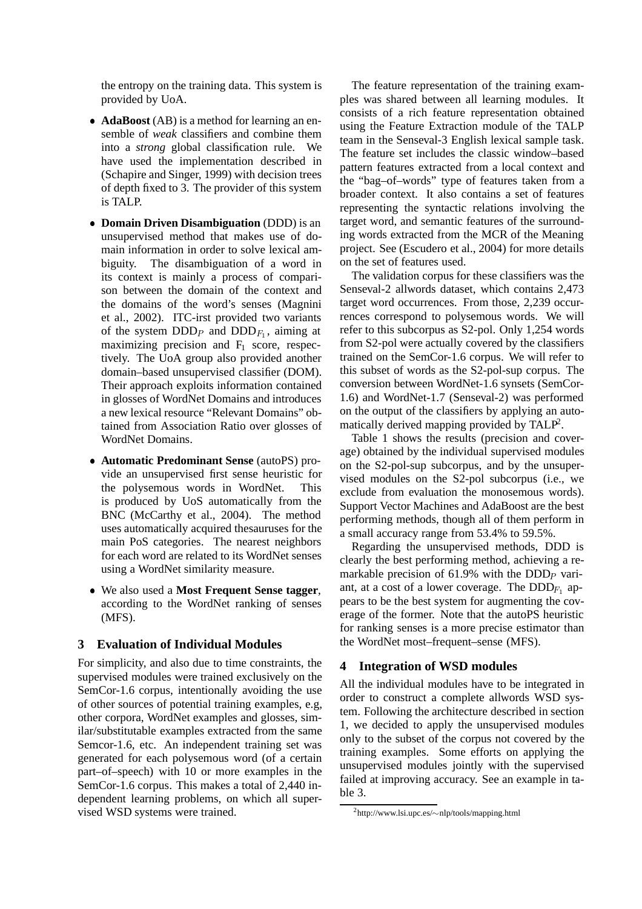the entropy on the training data. This system is provided by UoA.

- **AdaBoost** (AB) is a method for learning an ensemble of *weak* classifiers and combine them into a *strong* global classification rule. We have used the implementation described in (Schapire and Singer, 1999) with decision trees of depth fixed to 3. The provider of this system is TALP.
- **Domain Driven Disambiguation** (DDD) is an unsupervised method that makes use of domain information in order to solve lexical ambiguity. The disambiguation of a word in its context is mainly a process of comparison between the domain of the context and the domains of the word's senses (Magnini et al., 2002). ITC-irst provided two variants of the system DDD<sub>P</sub> and DDD<sub>F<sub>1</sub></sub>, aiming at maximizing precision and  $F_1$  score, respectively. The UoA group also provided another domain–based unsupervised classifier (DOM). Their approach exploits information contained in glosses of WordNet Domains and introduces a new lexical resource "Relevant Domains" obtained from Association Ratio over glosses of WordNet Domains.
- **Automatic Predominant Sense** (autoPS) provide an unsupervised first sense heuristic for the polysemous words in WordNet. This is produced by UoS automatically from the BNC (McCarthy et al., 2004). The method uses automatically acquired thesauruses for the main PoS categories. The nearest neighbors for each word are related to its WordNet senses using a WordNet similarity measure.
- We also used a **Most Frequent Sense tagger**, according to the WordNet ranking of senses (MFS).

# **3 Evaluation of Individual Modules**

For simplicity, and also due to time constraints, the supervised modules were trained exclusively on the SemCor-1.6 corpus, intentionally avoiding the use of other sources of potential training examples, e.g, other corpora, WordNet examples and glosses, similar/substitutable examples extracted from the same Semcor-1.6, etc. An independent training set was generated for each polysemous word (of a certain part–of–speech) with 10 or more examples in the SemCor-1.6 corpus. This makes a total of 2,440 independent learning problems, on which all supervised WSD systems were trained.

The feature representation of the training examples was shared between all learning modules. It consists of a rich feature representation obtained using the Feature Extraction module of the TALP team in the Senseval-3 English lexical sample task. The feature set includes the classic window–based pattern features extracted from a local context and the "bag–of–words" type of features taken from a broader context. It also contains a set of features representing the syntactic relations involving the target word, and semantic features of the surrounding words extracted from the MCR of the Meaning project. See (Escudero et al., 2004) for more details on the set of features used.

The validation corpus for these classifiers was the Senseval-2 allwords dataset, which contains 2,473 target word occurrences. From those, 2,239 occurrences correspond to polysemous words. We will refer to this subcorpus as S2-pol. Only 1,254 words from S2-pol were actually covered by the classifiers trained on the SemCor-1.6 corpus. We will refer to this subset of words as the S2-pol-sup corpus. The conversion between WordNet-1.6 synsets (SemCor-1.6) and WordNet-1.7 (Senseval-2) was performed on the output of the classifiers by applying an automatically derived mapping provided by  $TALP<sup>2</sup>$ .

Table 1 shows the results (precision and coverage) obtained by the individual supervised modules on the S2-pol-sup subcorpus, and by the unsupervised modules on the S2-pol subcorpus (i.e., we exclude from evaluation the monosemous words). Support Vector Machines and AdaBoost are the best performing methods, though all of them perform in a small accuracy range from 53.4% to 59.5%.

Regarding the unsupervised methods, DDD is clearly the best performing method, achieving a remarkable precision of 61.9% with the DDD<sub>P</sub> variant, at a cost of a lower coverage. The  $\text{DDD}_{F_1}$  ap pears to be the best system for augmenting the coverage of the former. Note that the autoPS heuristic for ranking senses is a more precise estimator than the WordNet most–frequent–sense (MFS).

#### **4 Integration of WSD modules**

All the individual modules have to be integrated in order to construct a complete allwords WSD system. Following the architecture described in section 1, we decided to apply the unsupervised modules only to the subset of the corpus not covered by the training examples. Some efforts on applying the unsupervised modules jointly with the supervised failed at improving accuracy. See an example in table 3.

 $^{2}$ http://www.lsi.upc.es/ $\sim$ nlp/tools/mapping.html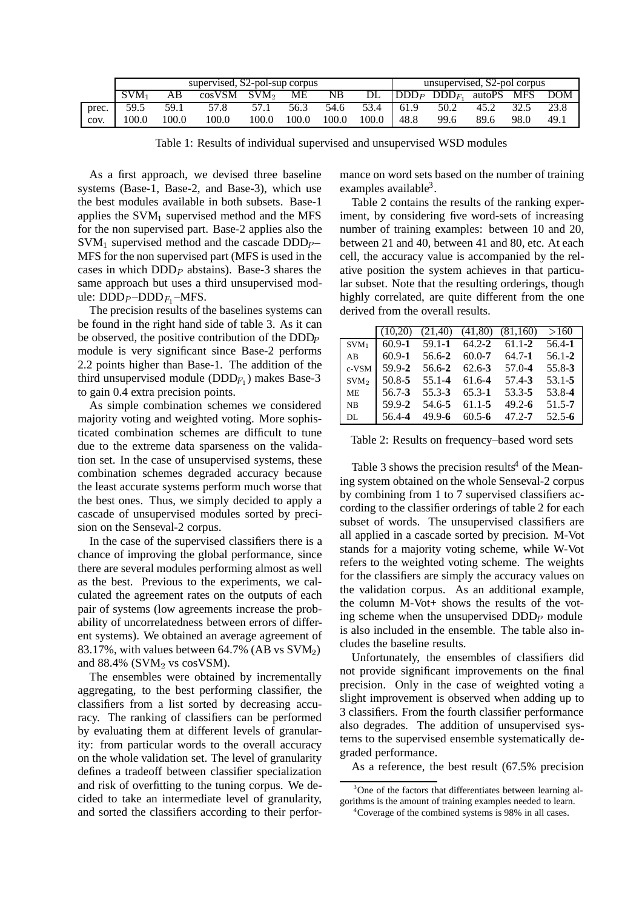|       |       |       |                    |       | unsupervised, S2-pol corpus<br>supervised, S2-pol-sup corpus |       |           |      |                                        |      |      |      |
|-------|-------|-------|--------------------|-------|--------------------------------------------------------------|-------|-----------|------|----------------------------------------|------|------|------|
|       | SVM.  | AB    | $cosVSM$ $SVM2$ ME |       |                                                              | NB    |           |      | $DL$ $ DDD_P$ $DDD_F$ , autoPS MFS DOM |      |      |      |
| prec. | 59.5  | 59.1  | 57.8               | 57.1  | 56.3                                                         | 54.6  | 53.4 61.9 |      | 50.2                                   | 45.2 | 32.5 | 23.8 |
| cov.  | 100.0 | 100.0 | 100.0              | 100.0 | 100.0                                                        | 100.0 | 100.0     | 48.8 | 99.6                                   | 89.6 | 98.0 | 49.1 |

Table 1: Results of individual supervised and unsupervised WSD modules

As a first approach, we devised three baseline systems (Base-1, Base-2, and Base-3), which use the best modules available in both subsets. Base-1 applies the  $SVM<sub>1</sub>$  supervised method and the MFS for the non supervised part. Base-2 applies also the  $SVM_1$  supervised method and the cascade  $DDD_{P-}$ MFS for the non supervised part (MFS is used in the cases in which  $DDD<sub>P</sub>$  abstains). Base-3 shares the same approach but uses a third unsupervised module:  $\text{DDD}_{P} - \text{DDD}_{F_1} - \text{MFS}.$ 

 The precision results of the baselines systems can be found in the right hand side of table 3. As it can be observed, the positive contribution of the DDD module is very significant since Base-2 performs 2.2 points higher than Base-1. The addition of the third unsupervised module (DDD $_{F_1}$ ) makes Base-3 to gain 0.4 extra precision points.

As simple combination schemes we considered majority voting and weighted voting. More sophisticated combination schemes are difficult to tune due to the extreme data sparseness on the validation set. In the case of unsupervised systems, these combination schemes degraded accuracy because the least accurate systems perform much worse that the best ones. Thus, we simply decided to apply a cascade of unsupervised modules sorted by precision on the Senseval-2 corpus.

In the case of the supervised classifiers there is a chance of improving the global performance, since there are several modules performing almost as well as the best. Previous to the experiments, we calculated the agreement rates on the outputs of each pair of systems (low agreements increase the probability of uncorrelatedness between errors of different systems). We obtained an average agreement of 83.17%, with values between 64.7% (AB vs  $\text{SVM}_2$ ) and  $88.4\%$  (SVM<sub>2</sub> vs cosVSM).

The ensembles were obtained by incrementally aggregating, to the best performing classifier, the classifiers from a list sorted by decreasing accuracy. The ranking of classifiers can be performed by evaluating them at different levels of granularity: from particular words to the overall accuracy on the whole validation set. The level of granularity defines a tradeoff between classifier specialization and risk of overfitting to the tuning corpus. We decided to take an intermediate level of granularity, and sorted the classifiers according to their performance on word sets based on the number of training examples available $3$ .

Table 2 contains the results of the ranking experiment, by considering five word-sets of increasing number of training examples: between 10 and 20, between 21 and 40, between 41 and 80, etc. At each cell, the accuracy value is accompanied by the relative position the system achieves in that particular subset. Note that the resulting orderings, though highly correlated, are quite different from the one derived from the overall results.

|                  | (10.20)    | (21,40)    | (41,80)    | (81.160)   | >160       |
|------------------|------------|------------|------------|------------|------------|
| SVM:             | $60.9 - 1$ | $59.1 - 1$ | $64.2 - 2$ | $61.1 - 2$ | 56.4-1     |
| AB               | $60.9 - 1$ | 56.6-2     | $60.0 - 7$ | $64.7 - 1$ | $56.1 - 2$ |
| c-VSM            | 59.9-2     | 56.6-2     | $62.6 - 3$ | $57.0 - 4$ | $55.8 - 3$ |
| SVM <sub>2</sub> | $50.8 - 5$ | $55.1 - 4$ | $61.6 - 4$ | $57.4 - 3$ | $53.1 - 5$ |
| <b>ME</b>        | $56.7 - 3$ | $55.3 - 3$ | $65.3 - 1$ | 53.3-5     | 53.8-4     |
| <b>NB</b>        | 59.9-2     | 54.6-5     | $61.1 - 5$ | $49.2 - 6$ | $51.5 - 7$ |
| DL.              | 56.4-4     | $49.9 - 6$ | $60.5 - 6$ | $47.2 - 7$ | $52.5 - 6$ |

Table 2: Results on frequency–based word sets

Table 3 shows the precision results<sup>4</sup> of the Meaning system obtained on the whole Senseval-2 corpus by combining from 1 to 7 supervised classifiers according to the classifier orderings of table 2 for each subset of words. The unsupervised classifiers are all applied in a cascade sorted by precision. M-Vot stands for a majority voting scheme, while W-Vot refers to the weighted voting scheme. The weights for the classifiers are simply the accuracy values on the validation corpus. As an additional example, the column M-Vot+ shows the results of the voting scheme when the unsupervised  $DDD<sub>P</sub>$  module is also included in the ensemble. The table also includes the baseline results.

Unfortunately, the ensembles of classifiers did not provide significant improvements on the final precision. Only in the case of weighted voting a slight improvement is observed when adding up to 3 classifiers. From the fourth classifier performance also degrades. The addition of unsupervised systems to the supervised ensemble systematically degraded performance.

As a reference, the best result (67.5% precision

<sup>&</sup>lt;sup>3</sup>One of the factors that differentiates between learning algorithms is the amount of training examples needed to learn.

<sup>4</sup> Coverage of the combined systems is 98% in all cases.